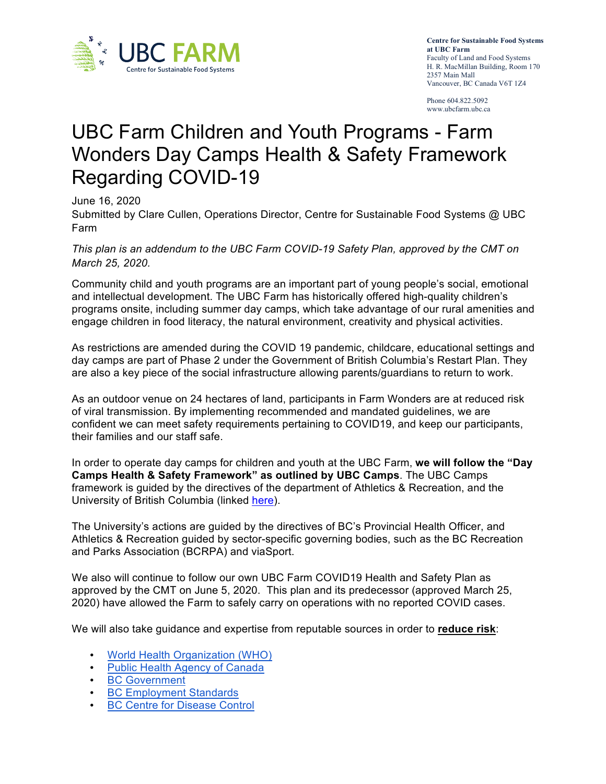

**Centre for Sustainable Food Systems at UBC Farm** Faculty of Land and Food Systems H. R. MacMillan Building, Room 170 2357 Main Mall Vancouver, BC Canada V6T 1Z4

Phone 604.822.5092 www.ubcfarm.ubc.ca

# UBC Farm Children and Youth Programs - Farm Wonders Day Camps Health & Safety Framework Regarding COVID-19

June 16, 2020

Submitted by Clare Cullen, Operations Director, Centre for Sustainable Food Systems @ UBC Farm

*This plan is an addendum to the UBC Farm COVID-19 Safety Plan, approved by the CMT on March 25, 2020.*

Community child and youth programs are an important part of young people's social, emotional and intellectual development. The UBC Farm has historically offered high-quality children's programs onsite, including summer day camps, which take advantage of our rural amenities and engage children in food literacy, the natural environment, creativity and physical activities.

As restrictions are amended during the COVID 19 pandemic, childcare, educational settings and day camps are part of Phase 2 under the Government of British Columbia's Restart Plan. They are also a key piece of the social infrastructure allowing parents/guardians to return to work.

As an outdoor venue on 24 hectares of land, participants in Farm Wonders are at reduced risk of viral transmission. By implementing recommended and mandated guidelines, we are confident we can meet safety requirements pertaining to COVID19, and keep our participants, their families and our staff safe.

In order to operate day camps for children and youth at the UBC Farm, **we will follow the "Day Camps Health & Safety Framework" as outlined by UBC Camps**. The UBC Camps framework is guided by the directives of the department of Athletics & Recreation, and the University of British Columbia (linked here).

The University's actions are guided by the directives of BC's Provincial Health Officer, and Athletics & Recreation guided by sector-specific governing bodies, such as the BC Recreation and Parks Association (BCRPA) and viaSport.

We also will continue to follow our own UBC Farm COVID19 Health and Safety Plan as approved by the CMT on June 5, 2020. This plan and its predecessor (approved March 25, 2020) have allowed the Farm to safely carry on operations with no reported COVID cases.

We will also take guidance and expertise from reputable sources in order to **reduce risk**:

- World Health Organization (WHO)
- Public Health Agency of Canada
- BC Government
- BC Employment Standards
- BC Centre for Disease Control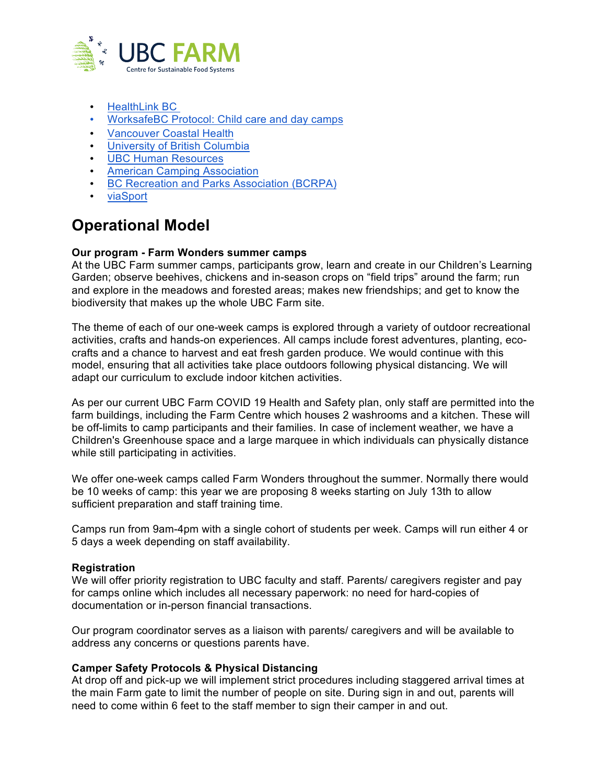

- HealthLink BC
- WorksafeBC Protocol: Child care and day camps
- Vancouver Coastal Health
- University of British Columbia
- UBC Human Resources
- American Camping Association
- BC Recreation and Parks Association (BCRPA)
- viaSport

# **Operational Model**

## **Our program - Farm Wonders summer camps**

At the UBC Farm summer camps, participants grow, learn and create in our Children's Learning Garden; observe beehives, chickens and in-season crops on "field trips" around the farm; run and explore in the meadows and forested areas; makes new friendships; and get to know the biodiversity that makes up the whole UBC Farm site.

The theme of each of our one-week camps is explored through a variety of outdoor recreational activities, crafts and hands-on experiences. All camps include forest adventures, planting, ecocrafts and a chance to harvest and eat fresh garden produce. We would continue with this model, ensuring that all activities take place outdoors following physical distancing. We will adapt our curriculum to exclude indoor kitchen activities.

As per our current UBC Farm COVID 19 Health and Safety plan, only staff are permitted into the farm buildings, including the Farm Centre which houses 2 washrooms and a kitchen. These will be off-limits to camp participants and their families. In case of inclement weather, we have a Children's Greenhouse space and a large marquee in which individuals can physically distance while still participating in activities.

We offer one-week camps called Farm Wonders throughout the summer. Normally there would be 10 weeks of camp: this year we are proposing 8 weeks starting on July 13th to allow sufficient preparation and staff training time.

Camps run from 9am-4pm with a single cohort of students per week. Camps will run either 4 or 5 days a week depending on staff availability.

## **Registration**

We will offer priority registration to UBC faculty and staff. Parents/ caregivers register and pay for camps online which includes all necessary paperwork: no need for hard-copies of documentation or in-person financial transactions.

Our program coordinator serves as a liaison with parents/ caregivers and will be available to address any concerns or questions parents have.

# **Camper Safety Protocols & Physical Distancing**

At drop off and pick-up we will implement strict procedures including staggered arrival times at the main Farm gate to limit the number of people on site. During sign in and out, parents will need to come within 6 feet to the staff member to sign their camper in and out.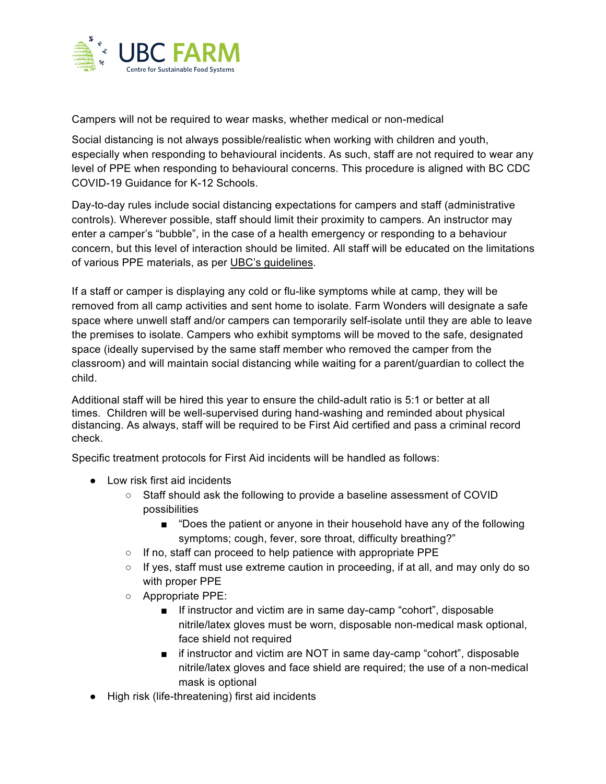

Campers will not be required to wear masks, whether medical or non-medical

Social distancing is not always possible/realistic when working with children and youth, especially when responding to behavioural incidents. As such, staff are not required to wear any level of PPE when responding to behavioural concerns. This procedure is aligned with BC CDC COVID-19 Guidance for K-12 Schools.

Day-to-day rules include social distancing expectations for campers and staff (administrative controls). Wherever possible, staff should limit their proximity to campers. An instructor may enter a camper's "bubble", in the case of a health emergency or responding to a behaviour concern, but this level of interaction should be limited. All staff will be educated on the limitations of various PPE materials, as per UBC's guidelines.

If a staff or camper is displaying any cold or flu-like symptoms while at camp, they will be removed from all camp activities and sent home to isolate. Farm Wonders will designate a safe space where unwell staff and/or campers can temporarily self-isolate until they are able to leave the premises to isolate. Campers who exhibit symptoms will be moved to the safe, designated space (ideally supervised by the same staff member who removed the camper from the classroom) and will maintain social distancing while waiting for a parent/guardian to collect the child.

Additional staff will be hired this year to ensure the child-adult ratio is 5:1 or better at all times. Children will be well-supervised during hand-washing and reminded about physical distancing. As always, staff will be required to be First Aid certified and pass a criminal record check.

Specific treatment protocols for First Aid incidents will be handled as follows:

- Low risk first aid incidents
	- Staff should ask the following to provide a baseline assessment of COVID possibilities
		- "Does the patient or anyone in their household have any of the following symptoms; cough, fever, sore throat, difficulty breathing?"
	- If no, staff can proceed to help patience with appropriate PPE
	- $\circ$  If yes, staff must use extreme caution in proceeding, if at all, and may only do so with proper PPE
	- Appropriate PPE:
		- If instructor and victim are in same day-camp "cohort", disposable nitrile/latex gloves must be worn, disposable non-medical mask optional, face shield not required
		- if instructor and victim are NOT in same day-camp "cohort", disposable nitrile/latex gloves and face shield are required; the use of a non-medical mask is optional
- High risk (life-threatening) first aid incidents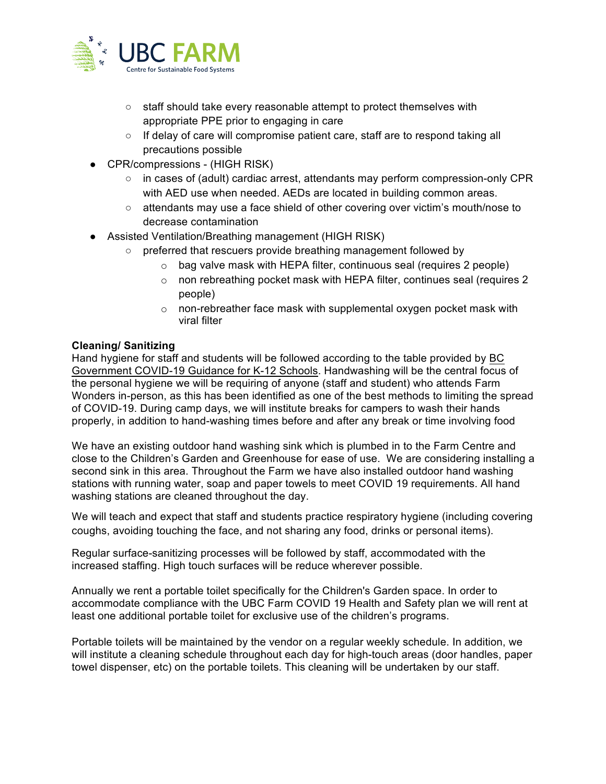

- staff should take every reasonable attempt to protect themselves with appropriate PPE prior to engaging in care
- If delay of care will compromise patient care, staff are to respond taking all precautions possible
- CPR/compressions (HIGH RISK)
	- in cases of (adult) cardiac arrest, attendants may perform compression-only CPR with AED use when needed. AEDs are located in building common areas.
	- attendants may use a face shield of other covering over victim's mouth/nose to decrease contamination
- Assisted Ventilation/Breathing management (HIGH RISK)
	- preferred that rescuers provide breathing management followed by
		- o bag valve mask with HEPA filter, continuous seal (requires 2 people)
		- o non rebreathing pocket mask with HEPA filter, continues seal (requires 2 people)
		- $\circ$  non-rebreather face mask with supplemental oxygen pocket mask with viral filter

## **Cleaning/ Sanitizing**

Hand hygiene for staff and students will be followed according to the table provided by BC Government COVID-19 Guidance for K-12 Schools. Handwashing will be the central focus of the personal hygiene we will be requiring of anyone (staff and student) who attends Farm Wonders in-person, as this has been identified as one of the best methods to limiting the spread of COVID-19. During camp days, we will institute breaks for campers to wash their hands properly, in addition to hand-washing times before and after any break or time involving food

We have an existing outdoor hand washing sink which is plumbed in to the Farm Centre and close to the Children's Garden and Greenhouse for ease of use. We are considering installing a second sink in this area. Throughout the Farm we have also installed outdoor hand washing stations with running water, soap and paper towels to meet COVID 19 requirements. All hand washing stations are cleaned throughout the day.

We will teach and expect that staff and students practice respiratory hygiene (including covering coughs, avoiding touching the face, and not sharing any food, drinks or personal items).

Regular surface-sanitizing processes will be followed by staff, accommodated with the increased staffing. High touch surfaces will be reduce wherever possible.

Annually we rent a portable toilet specifically for the Children's Garden space. In order to accommodate compliance with the UBC Farm COVID 19 Health and Safety plan we will rent at least one additional portable toilet for exclusive use of the children's programs.

Portable toilets will be maintained by the vendor on a regular weekly schedule. In addition, we will institute a cleaning schedule throughout each day for high-touch areas (door handles, paper towel dispenser, etc) on the portable toilets. This cleaning will be undertaken by our staff.